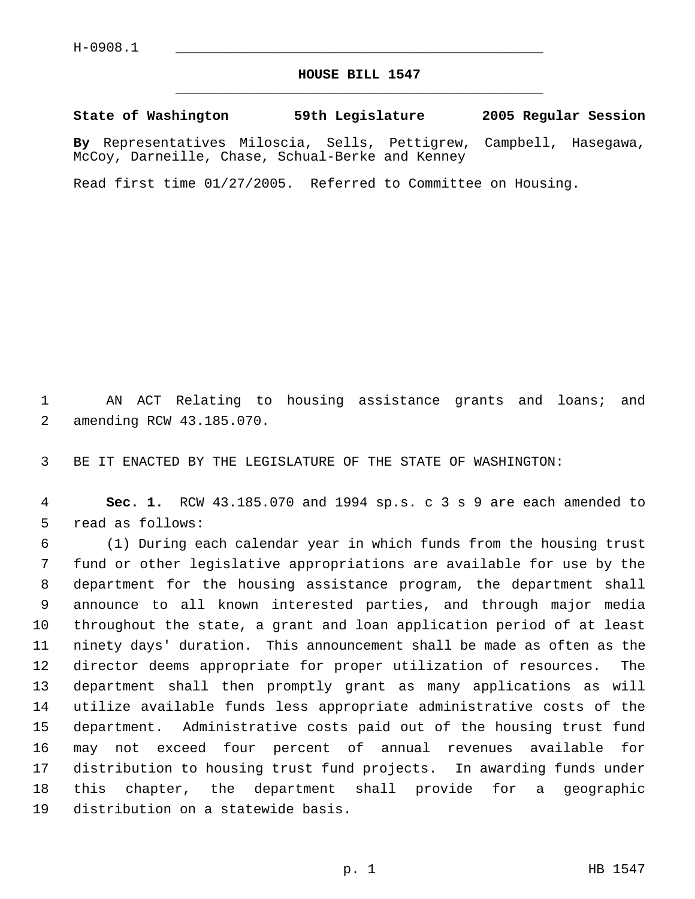## **HOUSE BILL 1547** \_\_\_\_\_\_\_\_\_\_\_\_\_\_\_\_\_\_\_\_\_\_\_\_\_\_\_\_\_\_\_\_\_\_\_\_\_\_\_\_\_\_\_\_\_

**State of Washington 59th Legislature 2005 Regular Session**

**By** Representatives Miloscia, Sells, Pettigrew, Campbell, Hasegawa, McCoy, Darneille, Chase, Schual-Berke and Kenney

Read first time 01/27/2005. Referred to Committee on Housing.

 AN ACT Relating to housing assistance grants and loans; and amending RCW 43.185.070.

BE IT ENACTED BY THE LEGISLATURE OF THE STATE OF WASHINGTON:

 **Sec. 1.** RCW 43.185.070 and 1994 sp.s. c 3 s 9 are each amended to read as follows:

 (1) During each calendar year in which funds from the housing trust fund or other legislative appropriations are available for use by the department for the housing assistance program, the department shall announce to all known interested parties, and through major media throughout the state, a grant and loan application period of at least ninety days' duration. This announcement shall be made as often as the director deems appropriate for proper utilization of resources. The department shall then promptly grant as many applications as will utilize available funds less appropriate administrative costs of the department. Administrative costs paid out of the housing trust fund may not exceed four percent of annual revenues available for distribution to housing trust fund projects. In awarding funds under this chapter, the department shall provide for a geographic distribution on a statewide basis.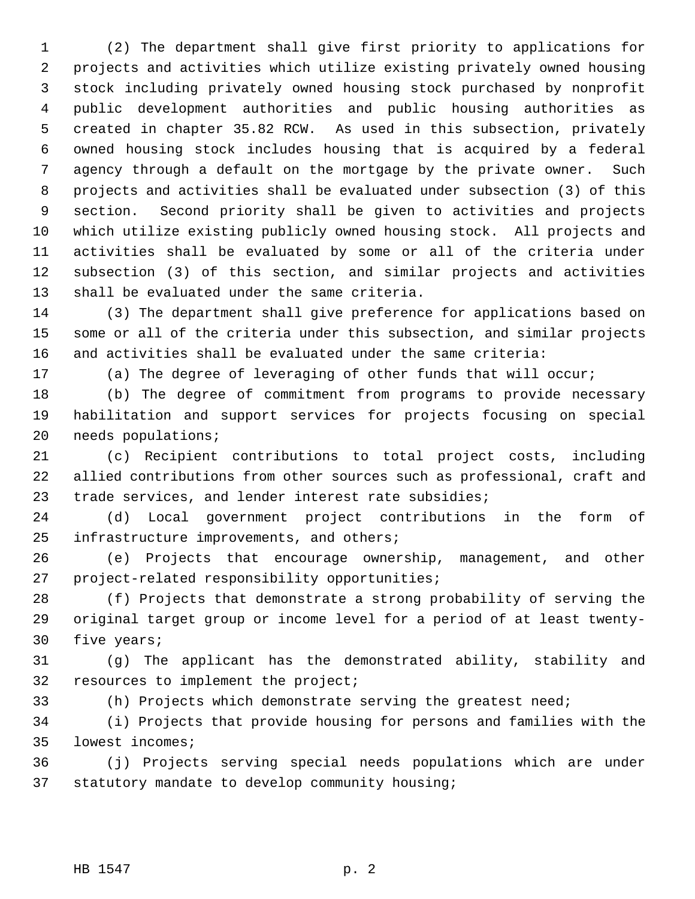(2) The department shall give first priority to applications for projects and activities which utilize existing privately owned housing stock including privately owned housing stock purchased by nonprofit public development authorities and public housing authorities as created in chapter 35.82 RCW. As used in this subsection, privately owned housing stock includes housing that is acquired by a federal agency through a default on the mortgage by the private owner. Such projects and activities shall be evaluated under subsection (3) of this section. Second priority shall be given to activities and projects which utilize existing publicly owned housing stock. All projects and activities shall be evaluated by some or all of the criteria under subsection (3) of this section, and similar projects and activities shall be evaluated under the same criteria.

 (3) The department shall give preference for applications based on some or all of the criteria under this subsection, and similar projects and activities shall be evaluated under the same criteria:

(a) The degree of leveraging of other funds that will occur;

 (b) The degree of commitment from programs to provide necessary habilitation and support services for projects focusing on special needs populations;

 (c) Recipient contributions to total project costs, including allied contributions from other sources such as professional, craft and trade services, and lender interest rate subsidies;

 (d) Local government project contributions in the form of infrastructure improvements, and others;

 (e) Projects that encourage ownership, management, and other project-related responsibility opportunities;

 (f) Projects that demonstrate a strong probability of serving the original target group or income level for a period of at least twenty-five years;

 (g) The applicant has the demonstrated ability, stability and resources to implement the project;

(h) Projects which demonstrate serving the greatest need;

 (i) Projects that provide housing for persons and families with the lowest incomes;

 (j) Projects serving special needs populations which are under statutory mandate to develop community housing;